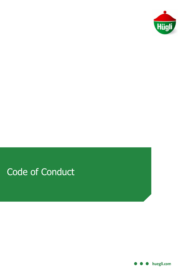

# Code of Conduct

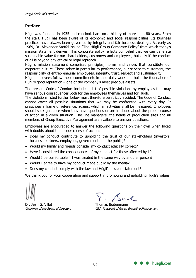### **Preface**

Hügli was founded in 1935 and can look back on a history of more than 80 years. From the start, Hügli has been aware of its economic and social responsibilities. Its business practices have always been governed by integrity and fair business dealings. As early as 1969, Dr. Alexander Stoffel issued "The Hügli Group Corporate Policy" from which today's mission statement derives. This corporate policy reflects our belief that we can generate sustainable value for our shareholders, customers and employees, but only if the conduct of all is beyond any ethical or legal reproach.

Hügli's mission statement comprises principles, norms and values that constitute our corporate culture. These relate in particular to performance, our service to customers, the responsibility of entrepreneurial employees, integrity, trust, respect and sustainability.

Hügli employees follow these commitments in their daily work and build the foundation of Hügli's good reputation – one of the company's most precious assets.

The present Code of Conduct includes a list of possible violations by employees that may have serious consequences both for the employees themselves and for Hügli.

The violations listed further below must therefore be strictly avoided. The Code of Conduct cannot cover all possible situations that we may be confronted with every day. It prescribes a frame of reference, against which all activities shall be measured. Employees should seek guidance when they have questions or are in doubt about the proper course of action in a given situation. The line managers, the heads of production sites and all members of Group Executive Management are available to answer questions.

Employees are encouraged to answer the following questions on their own when faced with doubts about the proper course of action:

- Does my conduct contribute to upholding the trust of our stakeholders (investors, business partners, employees, government and the public)?
- Would my family and friends consider my conduct ethically correct?
- Have I considered the consequences of my conduct for those affected by it?
- Would I be comfortable if I was treated in the same way by another person?
- Would I agree to have my conduct made public by the media?
- Does my conduct comply with the law and Hügli's mission statement?

We thank you for your cooperation and support in promoting and upholding Hügli's values.

Dr. Jean G. Villot **Thomas Bodenmann** 

 $\sqrt{1+\frac{1}{2}}$ 

Chairman of the Board of Directors CEO, President of Group Executive Management

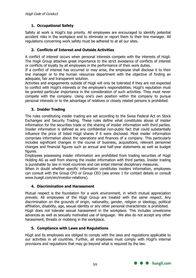## **1. Occupational Safety**

Safety at work is Hügli's top priority. All employees are encouraged to identify potential accident risks in the workplace and to eliminate or report them to their line manager. All regulations concerning work safety must be adhered to at all our sites.

#### **2. Conflicts of Interest and Outside Activities**

A conflict of interest occurs when personal interests compete with the interests of Hügli. The Hügli Group attaches great importance to the strict avoidance of conflicts of interest or conflicts of loyalty by all employees in the performance of their work duties.

If a conflict of interest has occurred or may arise, the employee shall disclose it to their line manager or to the human resources department with the objective of finding an adequate, fair and transparent solution.

Activities and engagements outside of Hügli will only be tolerated if they are not expected to conflict with Hügli's interests or the employee's responsibilities. Hügli's reputation must be granted particular importance in the consideration of such activities. They must never compete with the company. Using one's own position within the company to pursue personal interests or to the advantage of relatives or closely related persons is prohibited.

#### **3. Insider Trading**

The rules constituting insider trading are set according to the Swiss Federal Act on Stock Exchanges and Security Trading. These rules define what constitutes abuse of insider information for the securities trade or the sharing of insider information with third parties. Insider information is defined as any confidential non-public fact that could substantially influence the price of listed Hügli shares if it were disclosed. Most insider information comprises information about the operations and finances of a company. This particularly includes significant changes in the course of business, acquisitions, relevant personnel changes and financial figures such as annual and half-year statements as well as budget figures.

Employees possessing insider information are prohibited from trading securities of Hügli Holding AG as well from sharing the insider information with third parties. Insider trading is punishable by law in most countries and can entail internal disciplinary measures.

When in doubt whether specific information constitutes insiders information, employees can consult with the Group CFO or Group CEO (see annex 1 for contact details or consult www.huegli.com/en/investor-relations).

#### **4. Discrimination and Harassment**

Mutual respect is the foundation for a work environment, in which mutual appreciation prevails. All employees of the Hügli Group are treated with the same respect. Any discrimination on the grounds of origin, nationality, gender, religion or ideology, political affiliation, disability, age, sexual identity or any other personal characteristic is prohibited. Hügli does not tolerate sexual harassment in the workplace. This includes unwelcome advances as well as sexually motivated use of language. We also do not accept any other harassment, threats or mobbing in the workplace.

#### **5. Compliance with Laws and Regulations**

Hügli and its employees are obliged to comply with the laws and regulations applicable to our activities in all countries. Further, all employees must comply with Hügli's internal provisions and regulations that may go beyond what is required by the law.

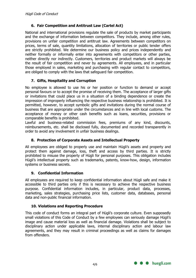### **6. Fair Competition and Antitrust Law (Cartel Act)**

National and international provisions regulate the sale of products by market participants and the exchange of information between competitors. They include, among other rules, provisions on unfair competition and antitrust law. Agreements between competitors on prices, terms of sale, quantity limitations, allocation of territories or public tender offers are strictly prohibited. We determine our business policy and prices independently and neither formally or informally enter into agreements with competitors or other parties, neither directly nor indirectly. Customers, territories and product markets will always be the result of fair competition and never by agreements. All employees, and in particular those employed in sales, marketing and purchasing with regular contact to competitors, are obliged to comply with the laws that safeguard fair competition.

#### **7. Gifts, Hospitality and Corruption**

No employee is allowed to use his or her position or function to demand or accept personal favours or to accept the promise of receiving them. The acceptance of larger gifts or invitations that could place us in a situation of a binding dependence or create the impression of improperly influencing the respective business relationship is prohibited. It is permitted, however, to accept symbolic gifts and invitations during the normal course of business that are appropriate under the circumstances and in line with local customs. The acceptance of money or other cash benefits such as loans, securities, provisions or comparable benefits is prohibited.

Lawful and business-related commission fees, premiums of any kind, discounts, reimbursements, etc. shall be disclosed fully, documented and recorded transparently in order to avoid any involvement in unfair business dealings.

#### **8. Protection of Corporate Assets and Intellectual Property**

All employees are obliged to properly use and maintain Hügli's assets and property and protect them against damage, loss, theft and access by third parties. It is strictly prohibited to misuse the property of Hügli for personal purposes. This obligation includes Hügli's intellectual property such as trademarks, patents, know-how, design, information systems or business secrets.

#### **9. Confidential Information**

All employees are required to keep confidential information about Hügli safe and make it accessible to third parties only if this is necessary to achieve the respective business purpose. Confidential information includes, in particular, product data, processes, marketing, sales strategies, purchasing price lists, customer data, databases, personal data and non-public financial information.

#### **10. Violations and Reporting Procedure**

This code of conduct forms an integral part of Hügli's corporate culture. Even supposedly small violations of this Code of Conduct by a few employees can seriously damage Hügli's image and cause material loss as well as financial damage. Violations shall be subject to disciplinary action under applicable laws, internal disciplinary action and labour law agreements, and they may result in criminal proceedings as well as claims for damages from offenders.

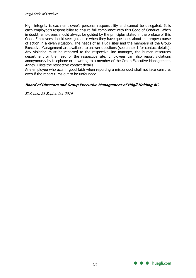High integrity is each employee's personal responsibility and cannot be delegated. It is each employee's responsibility to ensure full compliance with this Code of Conduct. When in doubt, employees should always be guided by the principles stated in the preface of this Code. Employees should seek guidance when they have questions about the proper course of action in a given situation. The heads of all Hügli sites and the members of the Group Executive Management are available to answer questions (see annex 1 for contact details). Any violation must be reported to the respective line manager, the human resources department or the head of the respective site. Employees can also report violations anonymously by telephone or in writing to a member of the Group Executive Management. Annex 1 lists the respective contact details.

Any employee who acts in good faith when reporting a misconduct shall not face censure, even if the report turns out to be unfounded.

#### **Board of Directors and Group Executive Management of Hügli Holding AG**

Steinach, 21 September 2016